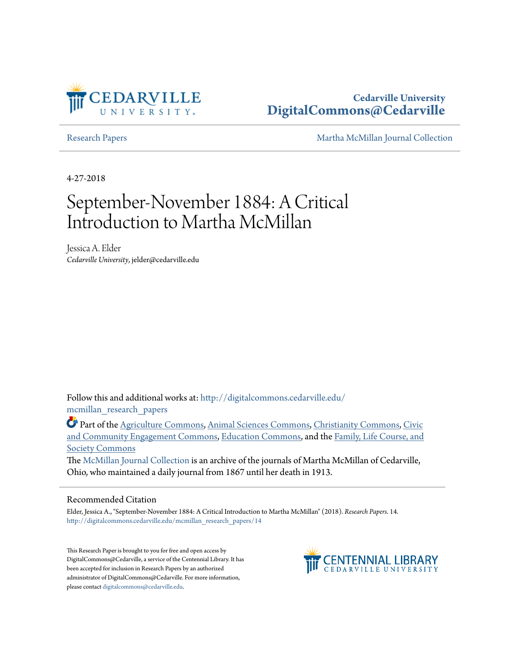

# **Cedarville University [DigitalCommons@Cedarville](http://digitalcommons.cedarville.edu?utm_source=digitalcommons.cedarville.edu%2Fmcmillan_research_papers%2F14&utm_medium=PDF&utm_campaign=PDFCoverPages)**

[Research Papers](http://digitalcommons.cedarville.edu/mcmillan_research_papers?utm_source=digitalcommons.cedarville.edu%2Fmcmillan_research_papers%2F14&utm_medium=PDF&utm_campaign=PDFCoverPages) [Martha McMillan Journal Collection](http://digitalcommons.cedarville.edu/mcmillan_journal_collection?utm_source=digitalcommons.cedarville.edu%2Fmcmillan_research_papers%2F14&utm_medium=PDF&utm_campaign=PDFCoverPages)

4-27-2018

# September-November 1884: A Critical Introduction to Martha McMillan

Jessica A. Elder *Cedarville University*, jelder@cedarville.edu

Follow this and additional works at: [http://digitalcommons.cedarville.edu/](http://digitalcommons.cedarville.edu/mcmillan_research_papers?utm_source=digitalcommons.cedarville.edu%2Fmcmillan_research_papers%2F14&utm_medium=PDF&utm_campaign=PDFCoverPages) [mcmillan\\_research\\_papers](http://digitalcommons.cedarville.edu/mcmillan_research_papers?utm_source=digitalcommons.cedarville.edu%2Fmcmillan_research_papers%2F14&utm_medium=PDF&utm_campaign=PDFCoverPages)

Part of the [Agriculture Commons](http://network.bepress.com/hgg/discipline/1076?utm_source=digitalcommons.cedarville.edu%2Fmcmillan_research_papers%2F14&utm_medium=PDF&utm_campaign=PDFCoverPages), [Animal Sciences Commons,](http://network.bepress.com/hgg/discipline/76?utm_source=digitalcommons.cedarville.edu%2Fmcmillan_research_papers%2F14&utm_medium=PDF&utm_campaign=PDFCoverPages) [Christianity Commons](http://network.bepress.com/hgg/discipline/1181?utm_source=digitalcommons.cedarville.edu%2Fmcmillan_research_papers%2F14&utm_medium=PDF&utm_campaign=PDFCoverPages), [Civic](http://network.bepress.com/hgg/discipline/1028?utm_source=digitalcommons.cedarville.edu%2Fmcmillan_research_papers%2F14&utm_medium=PDF&utm_campaign=PDFCoverPages) [and Community Engagement Commons,](http://network.bepress.com/hgg/discipline/1028?utm_source=digitalcommons.cedarville.edu%2Fmcmillan_research_papers%2F14&utm_medium=PDF&utm_campaign=PDFCoverPages) [Education Commons,](http://network.bepress.com/hgg/discipline/784?utm_source=digitalcommons.cedarville.edu%2Fmcmillan_research_papers%2F14&utm_medium=PDF&utm_campaign=PDFCoverPages) and the [Family, Life Course, and](http://network.bepress.com/hgg/discipline/419?utm_source=digitalcommons.cedarville.edu%2Fmcmillan_research_papers%2F14&utm_medium=PDF&utm_campaign=PDFCoverPages) [Society Commons](http://network.bepress.com/hgg/discipline/419?utm_source=digitalcommons.cedarville.edu%2Fmcmillan_research_papers%2F14&utm_medium=PDF&utm_campaign=PDFCoverPages)

The [McMillan Journal Collection](http://digitalcommons.cedarville.edu/mcmillan_journal_collection/) is an archive of the journals of Martha McMillan of Cedarville, Ohio, who maintained a daily journal from 1867 until her death in 1913.

#### Recommended Citation

Elder, Jessica A., "September-November 1884: A Critical Introduction to Martha McMillan" (2018). *Research Papers*. 14. [http://digitalcommons.cedarville.edu/mcmillan\\_research\\_papers/14](http://digitalcommons.cedarville.edu/mcmillan_research_papers/14?utm_source=digitalcommons.cedarville.edu%2Fmcmillan_research_papers%2F14&utm_medium=PDF&utm_campaign=PDFCoverPages)

This Research Paper is brought to you for free and open access by DigitalCommons@Cedarville, a service of the Centennial Library. It has been accepted for inclusion in Research Papers by an authorized administrator of DigitalCommons@Cedarville. For more information, please contact [digitalcommons@cedarville.edu.](mailto:digitalcommons@cedarville.edu)

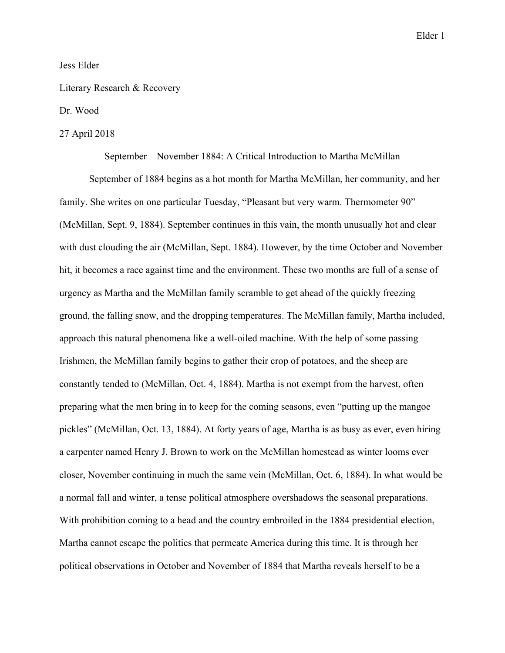#### Jess Elder

#### Literary Research & Recovery

### Dr. Wood

## 27 April 2018

September—November 1884: A Critical Introduction to Martha McMillan

 September of 1884 begins as a hot month for Martha McMillan, her community, and her family. She writes on one particular Tuesday, "Pleasant but very warm. Thermometer 90" (McMillan, Sept. 9, 1884). September continues in this vain, the month unusually hot and clear with dust clouding the air (McMillan, Sept. 1884). However, by the time October and November hit, it becomes a race against time and the environment. These two months are full of a sense of urgency as Martha and the McMillan family scramble to get ahead of the quickly freezing ground, the falling snow, and the dropping temperatures. The McMillan family, Martha included, approach this natural phenomena like a well-oiled machine. With the help of some passing Irishmen, the McMillan family begins to gather their crop of potatoes, and the sheep are constantly tended to (McMillan, Oct. 4, 1884). Martha is not exempt from the harvest, often preparing what the men bring in to keep for the coming seasons, even "putting up the mangoe pickles" (McMillan, Oct. 13, 1884). At forty years of age, Martha is as busy as ever, even hiring a carpenter named Henry J. Brown to work on the McMillan homestead as winter looms ever closer, November continuing in much the same vein (McMillan, Oct. 6, 1884). In what would be a normal fall and winter, a tense political atmosphere overshadows the seasonal preparations. With prohibition coming to a head and the country embroiled in the 1884 presidential election, Martha cannot escape the politics that permeate America during this time. It is through her political observations in October and November of 1884 that Martha reveals herself to be a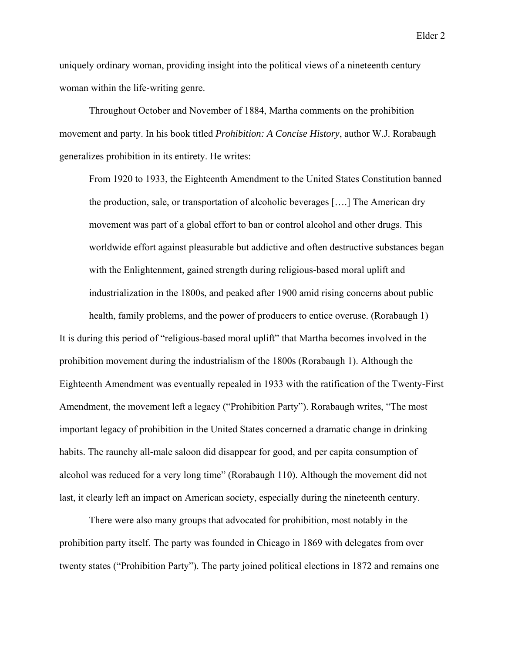uniquely ordinary woman, providing insight into the political views of a nineteenth century woman within the life-writing genre.

 Throughout October and November of 1884, Martha comments on the prohibition movement and party. In his book titled *Prohibition: A Concise History*, author W.J. Rorabaugh generalizes prohibition in its entirety. He writes:

From 1920 to 1933, the Eighteenth Amendment to the United States Constitution banned the production, sale, or transportation of alcoholic beverages [….] The American dry movement was part of a global effort to ban or control alcohol and other drugs. This worldwide effort against pleasurable but addictive and often destructive substances began with the Enlightenment, gained strength during religious-based moral uplift and industrialization in the 1800s, and peaked after 1900 amid rising concerns about public

health, family problems, and the power of producers to entice overuse. (Rorabaugh 1) It is during this period of "religious-based moral uplift" that Martha becomes involved in the prohibition movement during the industrialism of the 1800s (Rorabaugh 1). Although the Eighteenth Amendment was eventually repealed in 1933 with the ratification of the Twenty-First Amendment, the movement left a legacy ("Prohibition Party"). Rorabaugh writes, "The most important legacy of prohibition in the United States concerned a dramatic change in drinking habits. The raunchy all-male saloon did disappear for good, and per capita consumption of alcohol was reduced for a very long time" (Rorabaugh 110). Although the movement did not last, it clearly left an impact on American society, especially during the nineteenth century.

There were also many groups that advocated for prohibition, most notably in the prohibition party itself. The party was founded in Chicago in 1869 with delegates from over twenty states ("Prohibition Party"). The party joined political elections in 1872 and remains one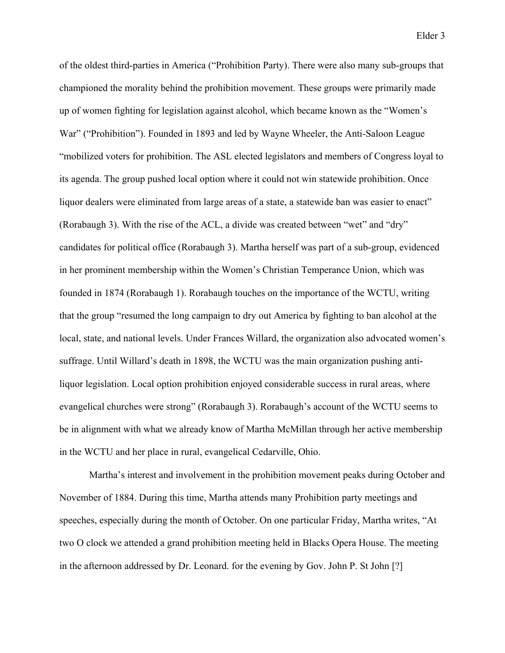of the oldest third-parties in America ("Prohibition Party). There were also many sub-groups that championed the morality behind the prohibition movement. These groups were primarily made up of women fighting for legislation against alcohol, which became known as the "Women's War" ("Prohibition"). Founded in 1893 and led by Wayne Wheeler, the Anti-Saloon League "mobilized voters for prohibition. The ASL elected legislators and members of Congress loyal to its agenda. The group pushed local option where it could not win statewide prohibition. Once liquor dealers were eliminated from large areas of a state, a statewide ban was easier to enact" (Rorabaugh 3). With the rise of the ACL, a divide was created between "wet" and "dry" candidates for political office (Rorabaugh 3). Martha herself was part of a sub-group, evidenced in her prominent membership within the Women's Christian Temperance Union, which was founded in 1874 (Rorabaugh 1). Rorabaugh touches on the importance of the WCTU, writing that the group "resumed the long campaign to dry out America by fighting to ban alcohol at the local, state, and national levels. Under Frances Willard, the organization also advocated women's suffrage. Until Willard's death in 1898, the WCTU was the main organization pushing antiliquor legislation. Local option prohibition enjoyed considerable success in rural areas, where evangelical churches were strong" (Rorabaugh 3). Rorabaugh's account of the WCTU seems to be in alignment with what we already know of Martha McMillan through her active membership in the WCTU and her place in rural, evangelical Cedarville, Ohio.

 Martha's interest and involvement in the prohibition movement peaks during October and November of 1884. During this time, Martha attends many Prohibition party meetings and speeches, especially during the month of October. On one particular Friday, Martha writes, "At two O clock we attended a grand prohibition meeting held in Blacks Opera House. The meeting in the afternoon addressed by Dr. Leonard. for the evening by Gov. John P. St John [?]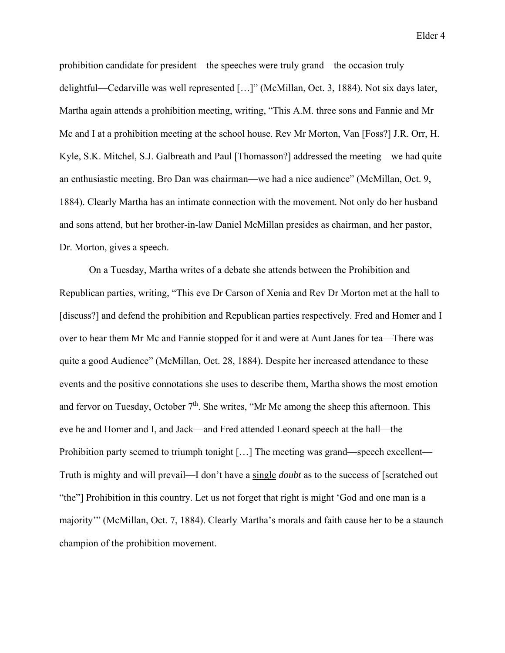prohibition candidate for president—the speeches were truly grand—the occasion truly delightful—Cedarville was well represented […]" (McMillan, Oct. 3, 1884). Not six days later, Martha again attends a prohibition meeting, writing, "This A.M. three sons and Fannie and Mr Mc and I at a prohibition meeting at the school house. Rev Mr Morton, Van [Foss?] J.R. Orr, H. Kyle, S.K. Mitchel, S.J. Galbreath and Paul [Thomasson?] addressed the meeting—we had quite an enthusiastic meeting. Bro Dan was chairman—we had a nice audience" (McMillan, Oct. 9, 1884). Clearly Martha has an intimate connection with the movement. Not only do her husband and sons attend, but her brother-in-law Daniel McMillan presides as chairman, and her pastor, Dr. Morton, gives a speech.

On a Tuesday, Martha writes of a debate she attends between the Prohibition and Republican parties, writing, "This eve Dr Carson of Xenia and Rev Dr Morton met at the hall to [discuss?] and defend the prohibition and Republican parties respectively. Fred and Homer and I over to hear them Mr Mc and Fannie stopped for it and were at Aunt Janes for tea—There was quite a good Audience" (McMillan, Oct. 28, 1884). Despite her increased attendance to these events and the positive connotations she uses to describe them, Martha shows the most emotion and fervor on Tuesday, October  $7<sup>th</sup>$ . She writes, "Mr Mc among the sheep this afternoon. This eve he and Homer and I, and Jack—and Fred attended Leonard speech at the hall—the Prohibition party seemed to triumph tonight [...] The meeting was grand—speech excellent— Truth is mighty and will prevail—I don't have a single *doubt* as to the success of [scratched out "the"] Prohibition in this country. Let us not forget that right is might 'God and one man is a majority'" (McMillan, Oct. 7, 1884). Clearly Martha's morals and faith cause her to be a staunch champion of the prohibition movement.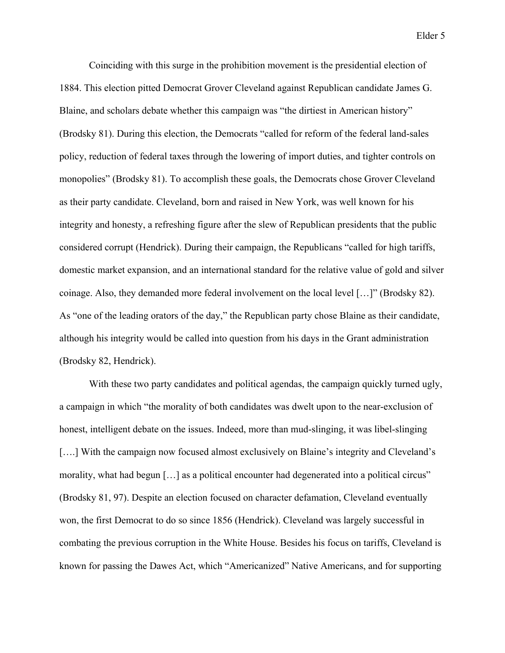Coinciding with this surge in the prohibition movement is the presidential election of 1884. This election pitted Democrat Grover Cleveland against Republican candidate James G. Blaine, and scholars debate whether this campaign was "the dirtiest in American history" (Brodsky 81). During this election, the Democrats "called for reform of the federal land-sales policy, reduction of federal taxes through the lowering of import duties, and tighter controls on monopolies" (Brodsky 81). To accomplish these goals, the Democrats chose Grover Cleveland as their party candidate. Cleveland, born and raised in New York, was well known for his integrity and honesty, a refreshing figure after the slew of Republican presidents that the public considered corrupt (Hendrick). During their campaign, the Republicans "called for high tariffs, domestic market expansion, and an international standard for the relative value of gold and silver coinage. Also, they demanded more federal involvement on the local level […]" (Brodsky 82). As "one of the leading orators of the day," the Republican party chose Blaine as their candidate, although his integrity would be called into question from his days in the Grant administration (Brodsky 82, Hendrick).

With these two party candidates and political agendas, the campaign quickly turned ugly, a campaign in which "the morality of both candidates was dwelt upon to the near-exclusion of honest, intelligent debate on the issues. Indeed, more than mud-slinging, it was libel-slinging [....] With the campaign now focused almost exclusively on Blaine's integrity and Cleveland's morality, what had begun […] as a political encounter had degenerated into a political circus" (Brodsky 81, 97). Despite an election focused on character defamation, Cleveland eventually won, the first Democrat to do so since 1856 (Hendrick). Cleveland was largely successful in combating the previous corruption in the White House. Besides his focus on tariffs, Cleveland is known for passing the Dawes Act, which "Americanized" Native Americans, and for supporting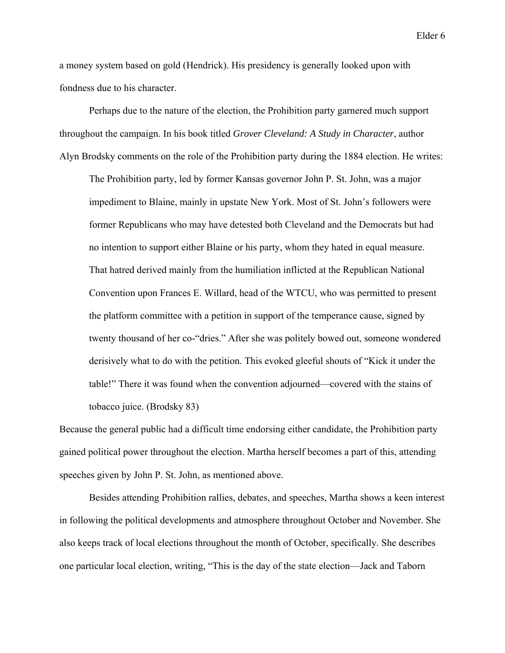a money system based on gold (Hendrick). His presidency is generally looked upon with fondness due to his character.

 Perhaps due to the nature of the election, the Prohibition party garnered much support throughout the campaign. In his book titled *Grover Cleveland: A Study in Character*, author Alyn Brodsky comments on the role of the Prohibition party during the 1884 election. He writes:

The Prohibition party, led by former Kansas governor John P. St. John, was a major impediment to Blaine, mainly in upstate New York. Most of St. John's followers were former Republicans who may have detested both Cleveland and the Democrats but had no intention to support either Blaine or his party, whom they hated in equal measure. That hatred derived mainly from the humiliation inflicted at the Republican National Convention upon Frances E. Willard, head of the WTCU, who was permitted to present the platform committee with a petition in support of the temperance cause, signed by twenty thousand of her co-"dries." After she was politely bowed out, someone wondered derisively what to do with the petition. This evoked gleeful shouts of "Kick it under the table!" There it was found when the convention adjourned—covered with the stains of tobacco juice. (Brodsky 83)

Because the general public had a difficult time endorsing either candidate, the Prohibition party gained political power throughout the election. Martha herself becomes a part of this, attending speeches given by John P. St. John, as mentioned above.

 Besides attending Prohibition rallies, debates, and speeches, Martha shows a keen interest in following the political developments and atmosphere throughout October and November. She also keeps track of local elections throughout the month of October, specifically. She describes one particular local election, writing, "This is the day of the state election—Jack and Taborn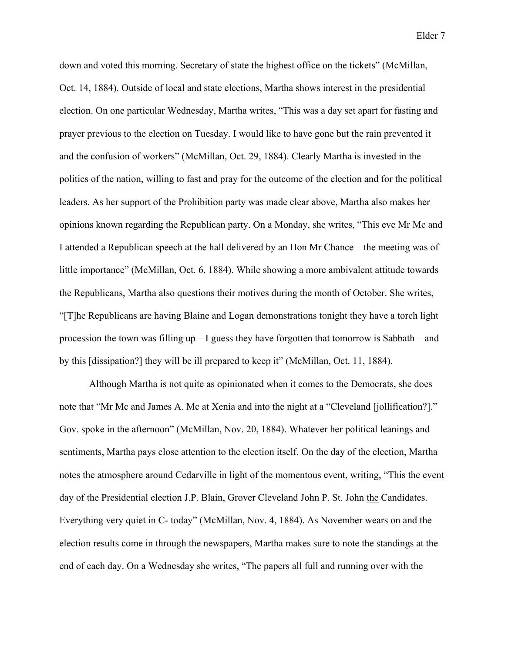down and voted this morning. Secretary of state the highest office on the tickets" (McMillan, Oct. 14, 1884). Outside of local and state elections, Martha shows interest in the presidential election. On one particular Wednesday, Martha writes, "This was a day set apart for fasting and prayer previous to the election on Tuesday. I would like to have gone but the rain prevented it and the confusion of workers" (McMillan, Oct. 29, 1884). Clearly Martha is invested in the politics of the nation, willing to fast and pray for the outcome of the election and for the political leaders. As her support of the Prohibition party was made clear above, Martha also makes her opinions known regarding the Republican party. On a Monday, she writes, "This eve Mr Mc and I attended a Republican speech at the hall delivered by an Hon Mr Chance—the meeting was of little importance" (McMillan, Oct. 6, 1884). While showing a more ambivalent attitude towards the Republicans, Martha also questions their motives during the month of October. She writes, "[T]he Republicans are having Blaine and Logan demonstrations tonight they have a torch light procession the town was filling up—I guess they have forgotten that tomorrow is Sabbath—and by this [dissipation?] they will be ill prepared to keep it" (McMillan, Oct. 11, 1884).

Although Martha is not quite as opinionated when it comes to the Democrats, she does note that "Mr Mc and James A. Mc at Xenia and into the night at a "Cleveland [jollification?]." Gov. spoke in the afternoon" (McMillan, Nov. 20, 1884). Whatever her political leanings and sentiments, Martha pays close attention to the election itself. On the day of the election, Martha notes the atmosphere around Cedarville in light of the momentous event, writing, "This the event day of the Presidential election J.P. Blain, Grover Cleveland John P. St. John the Candidates. Everything very quiet in C- today" (McMillan, Nov. 4, 1884). As November wears on and the election results come in through the newspapers, Martha makes sure to note the standings at the end of each day. On a Wednesday she writes, "The papers all full and running over with the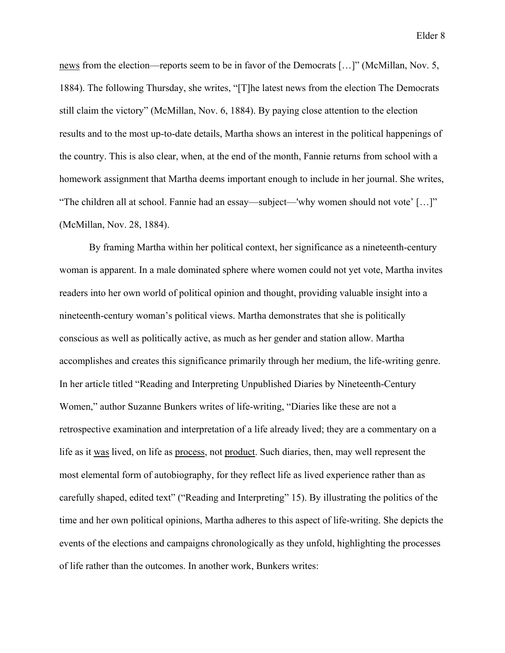news from the election—reports seem to be in favor of the Democrats […]" (McMillan, Nov. 5, 1884). The following Thursday, she writes, "[T]he latest news from the election The Democrats still claim the victory" (McMillan, Nov. 6, 1884). By paying close attention to the election results and to the most up-to-date details, Martha shows an interest in the political happenings of the country. This is also clear, when, at the end of the month, Fannie returns from school with a homework assignment that Martha deems important enough to include in her journal. She writes, "The children all at school. Fannie had an essay—subject—'why women should not vote' […]" (McMillan, Nov. 28, 1884).

By framing Martha within her political context, her significance as a nineteenth-century woman is apparent. In a male dominated sphere where women could not yet vote, Martha invites readers into her own world of political opinion and thought, providing valuable insight into a nineteenth-century woman's political views. Martha demonstrates that she is politically conscious as well as politically active, as much as her gender and station allow. Martha accomplishes and creates this significance primarily through her medium, the life-writing genre. In her article titled "Reading and Interpreting Unpublished Diaries by Nineteenth-Century Women," author Suzanne Bunkers writes of life-writing, "Diaries like these are not a retrospective examination and interpretation of a life already lived; they are a commentary on a life as it was lived, on life as process, not product. Such diaries, then, may well represent the most elemental form of autobiography, for they reflect life as lived experience rather than as carefully shaped, edited text" ("Reading and Interpreting" 15). By illustrating the politics of the time and her own political opinions, Martha adheres to this aspect of life-writing. She depicts the events of the elections and campaigns chronologically as they unfold, highlighting the processes of life rather than the outcomes. In another work, Bunkers writes: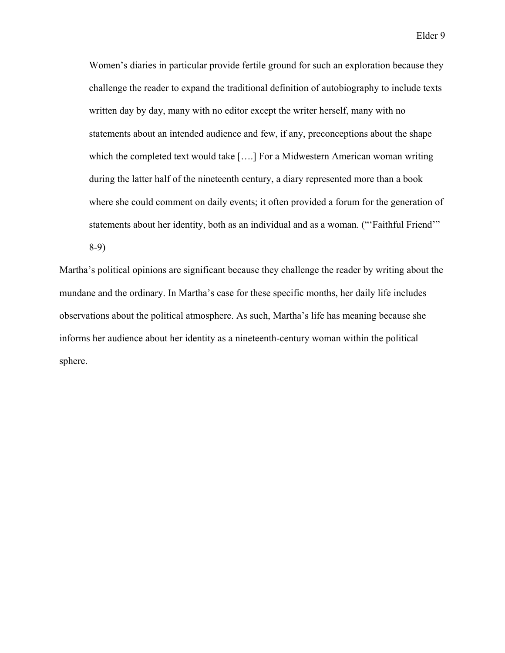Women's diaries in particular provide fertile ground for such an exploration because they challenge the reader to expand the traditional definition of autobiography to include texts written day by day, many with no editor except the writer herself, many with no statements about an intended audience and few, if any, preconceptions about the shape which the completed text would take [….] For a Midwestern American woman writing during the latter half of the nineteenth century, a diary represented more than a book where she could comment on daily events; it often provided a forum for the generation of statements about her identity, both as an individual and as a woman. ("'Faithful Friend'" 8-9)

Martha's political opinions are significant because they challenge the reader by writing about the mundane and the ordinary. In Martha's case for these specific months, her daily life includes observations about the political atmosphere. As such, Martha's life has meaning because she informs her audience about her identity as a nineteenth-century woman within the political sphere.